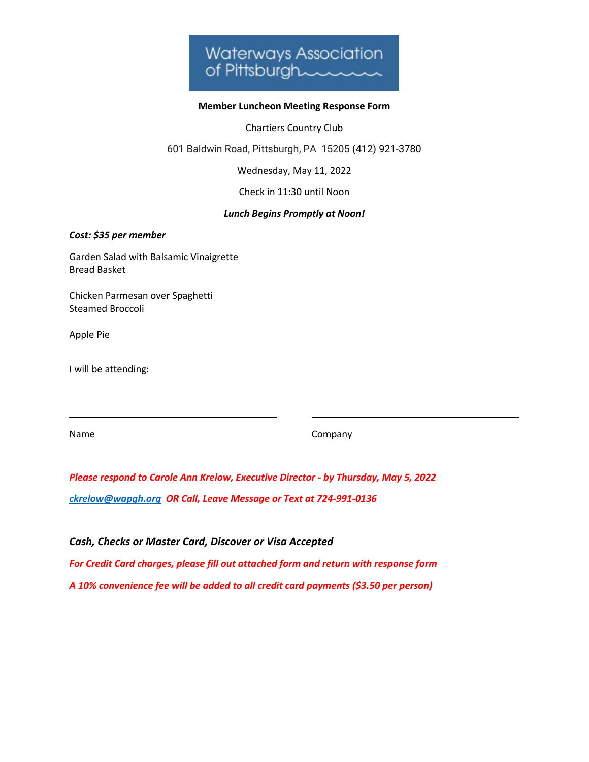

## **Member Luncheon Meeting Response Form**

Chartiers Country Club

601 Baldwin Road, Pittsburgh, PA 15205 [\(412\) 921-3780](https://www.google.com/search?q=max%27s+allegheny+tavern&rlz=1C1CHBF_enUS939US939&oq=max&aqs=chrome.0.69i59j69i57j46i199i433i465i512j0i512j0i433i512j46i199i291i433i512j46i131i433i512j0i512j46i433i512j0i271.888j0j15&sourceid=chrome&ie=UTF-8)

Wednesday, May 11, 2022

Check in 11:30 until Noon

## *Lunch Begins Promptly at Noon!*

*Cost: \$35 per member*

Garden Salad with Balsamic Vinaigrette Bread Basket

Chicken Parmesan over Spaghetti Steamed Broccoli

Apple Pie

I will be attending:

Name Company

*Please respond to Carole Ann Krelow, Executive Director - by Thursday, May 5, 2022 [ckrelow@wapgh.org](mailto:ckrelow@wapgh.org) OR Call, Leave Message or Text at 724-991-0136*

## *Cash, Checks or Master Card, Discover or Visa Accepted*

*For Credit Card charges, please fill out attached form and return with response form A 10% convenience fee will be added to all credit card payments (\$3.50 per person)*